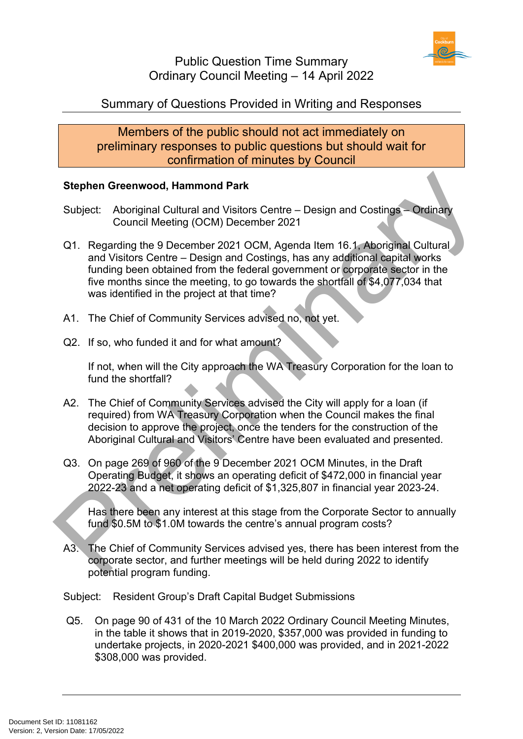

# Summary of Questions Provided in Writing and Responses

Members of the public should not act immediately on preliminary responses to public questions but should wait for confirmation of minutes by Council

#### **Stephen Greenwood, Hammond Park**

- Subject: Aboriginal Cultural and Visitors Centre Design and Costings Ordinary Council Meeting (OCM) December 2021
- Q1. Regarding the 9 December 2021 OCM, Agenda Item 16.1, Aboriginal Cultural and Visitors Centre – Design and Costings, has any additional capital works funding been obtained from the federal government or corporate sector in the five months since the meeting, to go towards the shortfall of \$4,077,034 that was identified in the project at that time? Stephen Greenwood, Hammond Park<br>
Subject: Aboriginal Cultural and Visitors Centre – Design and Costings – Ordinary<br>
Council Meeting (OCM) December 2021<br>
21. Regarding the 9 December 2021<br>
20. Magnding the 9 December 2021<br>
	- A1. The Chief of Community Services advised no, not yet.
	- Q2. If so, who funded it and for what amount?

If not, when will the City approach the WA Treasury Corporation for the loan to fund the shortfall?

- A2. The Chief of Community Services advised the City will apply for a loan (if required) from WA Treasury Corporation when the Council makes the final decision to approve the project, once the tenders for the construction of the Aboriginal Cultural and Visitors' Centre have been evaluated and presented.
- Q3. On page 269 of 960 of the 9 December 2021 OCM Minutes, in the Draft Operating Budget, it shows an operating deficit of \$472,000 in financial year 2022-23 and a net operating deficit of \$1,325,807 in financial year 2023-24.

Has there been any interest at this stage from the Corporate Sector to annually fund \$0.5M to \$1.0M towards the centre's annual program costs?

A3. The Chief of Community Services advised yes, there has been interest from the corporate sector, and further meetings will be held during 2022 to identify potential program funding.

Subject: Resident Group's Draft Capital Budget Submissions

Q5. On page 90 of 431 of the 10 March 2022 Ordinary Council Meeting Minutes, in the table it shows that in 2019-2020, \$357,000 was provided in funding to undertake projects, in 2020-2021 \$400,000 was provided, and in 2021-2022 \$308,000 was provided.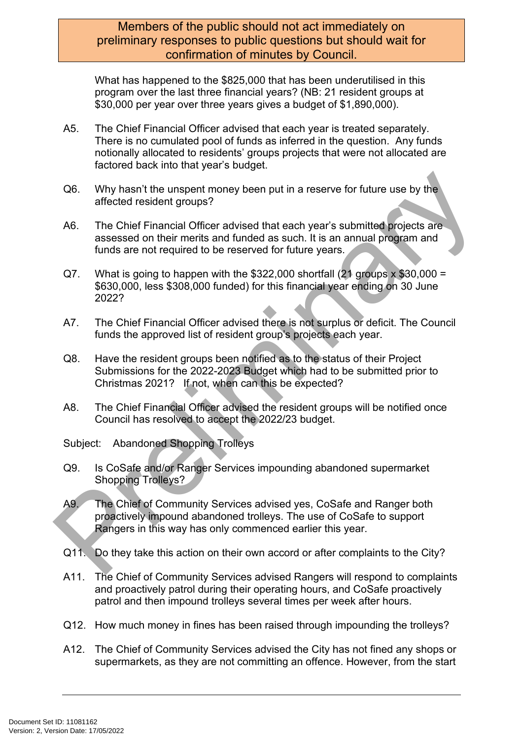### Members of the public should not act immediately on preliminary responses to public questions but should wait for confirmation of minutes by Council.

What has happened to the \$825,000 that has been underutilised in this program over the last three financial years? (NB: 21 resident groups at \$30,000 per year over three years gives a budget of \$1,890,000).

- A5. The Chief Financial Officer advised that each year is treated separately. There is no cumulated pool of funds as inferred in the question. Any funds notionally allocated to residents' groups projects that were not allocated are factored back into that year's budget.
- Q6. Why hasn't the unspent money been put in a reserve for future use by the affected resident groups?
- A6. The Chief Financial Officer advised that each year's submitted projects are assessed on their merits and funded as such. It is an annual program and funds are not required to be reserved for future years.
- $Q7.$  What is going to happen with the \$322,000 shortfall (21 groups x \$30,000 = \$630,000, less \$308,000 funded) for this financial year ending on 30 June 2022? O6. Why hasn't the unspent money been put in a reserve for future use by the<br>affected resident groups?<br>A6. The Chief Financial Officer advised that each year's submitted projects are<br>assessed on their mentis and funded as
	- A7. The Chief Financial Officer advised there is not surplus or deficit. The Council funds the approved list of resident group's projects each year.
	- Q8. Have the resident groups been notified as to the status of their Project Submissions for the 2022-2023 Budget which had to be submitted prior to Christmas 2021? If not, when can this be expected?
	- A8. The Chief Financial Officer advised the resident groups will be notified once Council has resolved to accept the 2022/23 budget.
	- Subject: Abandoned Shopping Trolleys
	- Q9. Is CoSafe and/or Ranger Services impounding abandoned supermarket Shopping Trolleys?
	- A9. The Chief of Community Services advised yes, CoSafe and Ranger both proactively impound abandoned trolleys. The use of CoSafe to support Rangers in this way has only commenced earlier this year.
	- Q11. Do they take this action on their own accord or after complaints to the City?
	- A11. The Chief of Community Services advised Rangers will respond to complaints and proactively patrol during their operating hours, and CoSafe proactively patrol and then impound trolleys several times per week after hours.
	- Q12. How much money in fines has been raised through impounding the trolleys?
	- A12. The Chief of Community Services advised the City has not fined any shops or supermarkets, as they are not committing an offence. However, from the start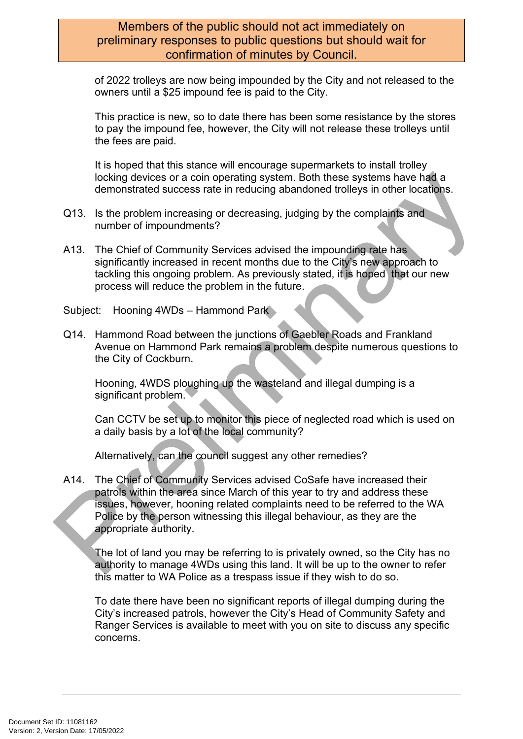### Members of the public should not act immediately on preliminary responses to public questions but should wait for confirmation of minutes by Council.

of 2022 trolleys are now being impounded by the City and not released to the owners until a \$25 impound fee is paid to the City.

This practice is new, so to date there has been some resistance by the stores to pay the impound fee, however, the City will not release these trolleys until the fees are paid.

It is hoped that this stance will encourage supermarkets to install trolley locking devices or a coin operating system. Both these systems have had a demonstrated success rate in reducing abandoned trolleys in other locations.

- Q13. Is the problem increasing or decreasing, judging by the complaints and number of impoundments?
- A13. The Chief of Community Services advised the impounding rate has significantly increased in recent months due to the City's new approach to tackling this ongoing problem. As previously stated, it is hoped that our new process will reduce the problem in the future.
- Subject: Hooning 4WDs Hammond Park
- Q14. Hammond Road between the junctions of Gaebler Roads and Frankland Avenue on Hammond Park remains a problem despite numerous questions to the City of Cockburn.

Hooning, 4WDS ploughing up the wasteland and illegal dumping is a significant problem.

Can CCTV be set up to monitor this piece of neglected road which is used on a daily basis by a lot of the local community?

Alternatively, can the council suggest any other remedies?

A14. The Chief of Community Services advised CoSafe have increased their patrols within the area since March of this year to try and address these issues, however, hooning related complaints need to be referred to the WA Police by the person witnessing this illegal behaviour, as they are the appropriate authority. looking devices or a coin operating system. Both these systems have had a<br>demonstrated success rate in reducing abandoned trolleys in other locations.<br>
13. Is the problem increasing or decreasing, judging by the complaints

The lot of land you may be referring to is privately owned, so the City has no authority to manage 4WDs using this land. It will be up to the owner to refer this matter to WA Police as a trespass issue if they wish to do so.

To date there have been no significant reports of illegal dumping during the City's increased patrols, however the City's Head of Community Safety and Ranger Services is available to meet with you on site to discuss any specific concerns.